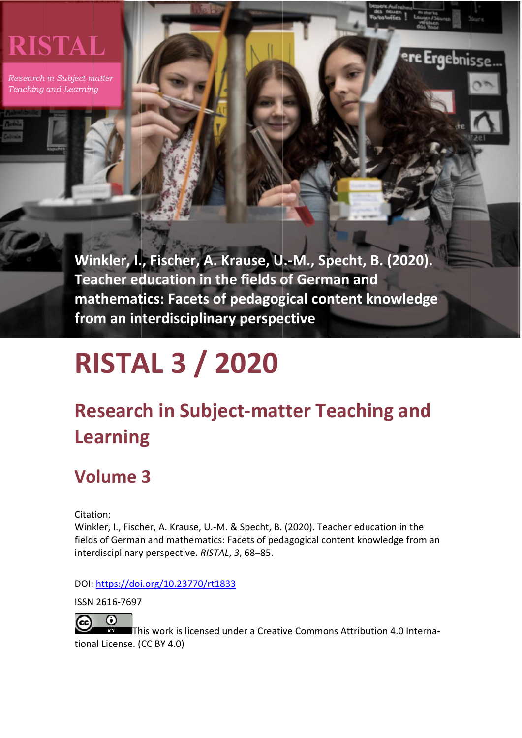# **RISTAL**

Research in Subject-matter Teaching and Learning

> Winkler, I., Fischer, A. Krause, U.-M., Specht, B. (2020). **Tea acher ed ducation n in the e fields o of Germ man and** mathematics: Facets of pedagogical content knowledge from an interdisciplinary perspective

Ergebnisse

# **R ISTA AL 3 / 20 020**

# **Research in Subject-matter Teaching and Learning**

# **Vo olume 3**

Citation:

Winkler, I., Fischer, A. Krause, U.-M. & Specht, B. (2020). Teacher education in the fields of German and mathematics: Facets of pedagogical content knowledge from an interdisciplinary perspective. RISTAL, 3, 68-85.

DOI: https://doi.org/10.23770/rt1833

ISSN 2616‐7697

 $\Omega$  $(c<sub>c</sub>)$ 

tional License. (CC BY 4.0) 97<br>|<br>IThis work is licensed under a Creative Commons Attribution 4.0 Interna-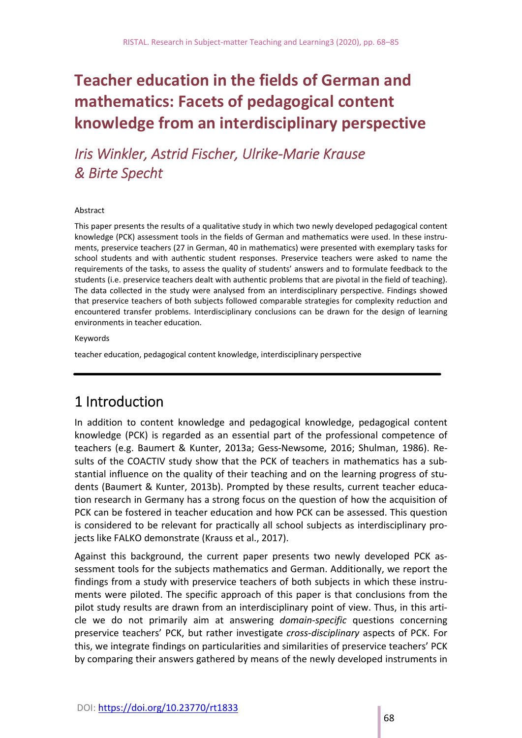# **Teacher education in the fields of German and mathematics: Facets of pedagogical content knowledge from an interdisciplinary perspective**

*Iris Winkler, Astrid Fischer, Ulrike‐Marie Krause & Birte Specht* 

#### Abstract

This paper presents the results of a qualitative study in which two newly developed pedagogical content knowledge (PCK) assessment tools in the fields of German and mathematics were used. In these instruments, preservice teachers (27 in German, 40 in mathematics) were presented with exemplary tasks for school students and with authentic student responses. Preservice teachers were asked to name the requirements of the tasks, to assess the quality of students' answers and to formulate feedback to the students (i.e. preservice teachers dealt with authentic problems that are pivotal in the field of teaching). The data collected in the study were analysed from an interdisciplinary perspective. Findings showed that preservice teachers of both subjects followed comparable strategies for complexity reduction and encountered transfer problems. Interdisciplinary conclusions can be drawn for the design of learning environments in teacher education.

#### Keywords

teacher education, pedagogical content knowledge, interdisciplinary perspective

### 1 Introduction

In addition to content knowledge and pedagogical knowledge, pedagogical content knowledge (PCK) is regarded as an essential part of the professional competence of teachers (e.g. Baumert & Kunter, 2013a; Gess‐Newsome, 2016; Shulman, 1986). Re‐ sults of the COACTIV study show that the PCK of teachers in mathematics has a substantial influence on the quality of their teaching and on the learning progress of stu‐ dents (Baumert & Kunter, 2013b). Prompted by these results, current teacher educa‐ tion research in Germany has a strong focus on the question of how the acquisition of PCK can be fostered in teacher education and how PCK can be assessed. This question is considered to be relevant for practically all school subjects as interdisciplinary pro‐ jects like FALKO demonstrate (Krauss et al., 2017).

Against this background, the current paper presents two newly developed PCK assessment tools for the subjects mathematics and German. Additionally, we report the findings from a study with preservice teachers of both subjects in which these instru‐ ments were piloted. The specific approach of this paper is that conclusions from the pilot study results are drawn from an interdisciplinary point of view. Thus, in this arti‐ cle we do not primarily aim at answering *domain‐specific* questions concerning preservice teachers' PCK, but rather investigate *cross‐disciplinary* aspects of PCK. For this, we integrate findings on particularities and similarities of preservice teachers' PCK by comparing their answers gathered by means of the newly developed instruments in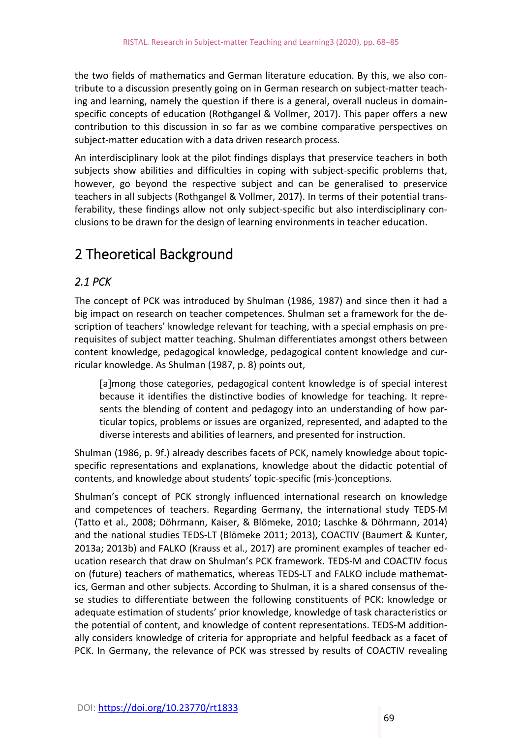the two fields of mathematics and German literature education. By this, we also con‐ tribute to a discussion presently going on in German research on subject-matter teaching and learning, namely the question if there is a general, overall nucleus in domain‐ specific concepts of education (Rothgangel & Vollmer, 2017). This paper offers a new contribution to this discussion in so far as we combine comparative perspectives on subject-matter education with a data driven research process.

An interdisciplinary look at the pilot findings displays that preservice teachers in both subjects show abilities and difficulties in coping with subject-specific problems that, however, go beyond the respective subject and can be generalised to preservice teachers in all subjects (Rothgangel & Vollmer, 2017). In terms of their potential trans‐ ferability, these findings allow not only subject-specific but also interdisciplinary conclusions to be drawn for the design of learning environments in teacher education.

# 2 Theoretical Background

#### *2.1 PCK*

The concept of PCK was introduced by Shulman (1986, 1987) and since then it had a big impact on research on teacher competences. Shulman set a framework for the de‐ scription of teachers' knowledge relevant for teaching, with a special emphasis on pre‐ requisites of subject matter teaching. Shulman differentiates amongst others between content knowledge, pedagogical knowledge, pedagogical content knowledge and cur‐ ricular knowledge. As Shulman (1987, p. 8) points out,

[a]mong those categories, pedagogical content knowledge is of special interest because it identifies the distinctive bodies of knowledge for teaching. It represents the blending of content and pedagogy into an understanding of how particular topics, problems or issues are organized, represented, and adapted to the diverse interests and abilities of learners, and presented for instruction.

Shulman (1986, p. 9f.) already describes facets of PCK, namely knowledge about topic‐ specific representations and explanations, knowledge about the didactic potential of contents, and knowledge about students' topic‐specific (mis‐)conceptions.

Shulman's concept of PCK strongly influenced international research on knowledge and competences of teachers. Regarding Germany, the international study TEDS‐M (Tatto et al., 2008; Döhrmann, Kaiser, & Blömeke, 2010; Laschke & Döhrmann, 2014) and the national studies TEDS‐LT (Blömeke 2011; 2013), COACTIV (Baumert & Kunter, 2013a; 2013b) and FALKO (Krauss et al., 2017) are prominent examples of teacher ed‐ ucation research that draw on Shulman's PCK framework. TEDS‐M and COACTIV focus on (future) teachers of mathematics, whereas TEDS‐LT and FALKO include mathemat‐ ics, German and other subjects. According to Shulman, it is a shared consensus of the‐ se studies to differentiate between the following constituents of PCK: knowledge or adequate estimation of students' prior knowledge, knowledge of task characteristics or the potential of content, and knowledge of content representations. TEDS‐M addition‐ ally considers knowledge of criteria for appropriate and helpful feedback as a facet of PCK. In Germany, the relevance of PCK was stressed by results of COACTIV revealing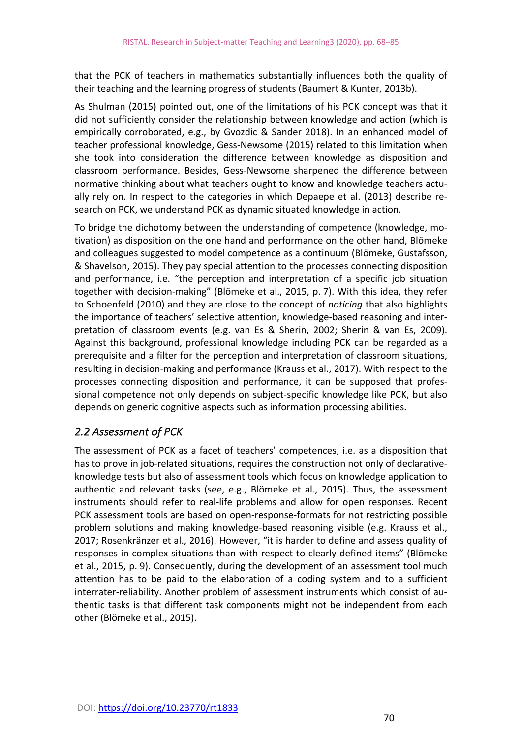that the PCK of teachers in mathematics substantially influences both the quality of their teaching and the learning progress of students (Baumert & Kunter, 2013b).

As Shulman (2015) pointed out, one of the limitations of his PCK concept was that it did not sufficiently consider the relationship between knowledge and action (which is empirically corroborated, e.g., by Gvozdic & Sander 2018). In an enhanced model of teacher professional knowledge, Gess‐Newsome (2015) related to this limitation when she took into consideration the difference between knowledge as disposition and classroom performance. Besides, Gess‐Newsome sharpened the difference between normative thinking about what teachers ought to know and knowledge teachers actu‐ ally rely on. In respect to the categories in which Depaepe et al. (2013) describe re‐ search on PCK, we understand PCK as dynamic situated knowledge in action.

To bridge the dichotomy between the understanding of competence (knowledge, mo‐ tivation) as disposition on the one hand and performance on the other hand, Blömeke and colleagues suggested to model competence as a continuum (Blömeke, Gustafsson, & Shavelson, 2015). They pay special attention to the processes connecting disposition and performance, i.e. "the perception and interpretation of a specific job situation together with decision‐making" (Blömeke et al., 2015, p. 7). With this idea, they refer to Schoenfeld (2010) and they are close to the concept of *noticing* that also highlights the importance of teachers' selective attention, knowledge‐based reasoning and inter‐ pretation of classroom events (e.g. van Es & Sherin, 2002; Sherin & van Es, 2009). Against this background, professional knowledge including PCK can be regarded as a prerequisite and a filter for the perception and interpretation of classroom situations, resulting in decision‐making and performance (Krauss et al., 2017). With respect to the processes connecting disposition and performance, it can be supposed that profes‐ sional competence not only depends on subject‐specific knowledge like PCK, but also depends on generic cognitive aspects such as information processing abilities.

#### *2.2 Assessment of PCK*

The assessment of PCK as a facet of teachers' competences, i.e. as a disposition that has to prove in job-related situations, requires the construction not only of declarativeknowledge tests but also of assessment tools which focus on knowledge application to authentic and relevant tasks (see, e.g., Blömeke et al., 2015). Thus, the assessment instruments should refer to real-life problems and allow for open responses. Recent PCK assessment tools are based on open‐response‐formats for not restricting possible problem solutions and making knowledge-based reasoning visible (e.g. Krauss et al., 2017; Rosenkränzer et al., 2016). However, "it is harder to define and assess quality of responses in complex situations than with respect to clearly‐defined items" (Blömeke et al., 2015, p. 9). Consequently, during the development of an assessment tool much attention has to be paid to the elaboration of a coding system and to a sufficient interrater‐reliability. Another problem of assessment instruments which consist of au‐ thentic tasks is that different task components might not be independent from each other (Blömeke et al., 2015).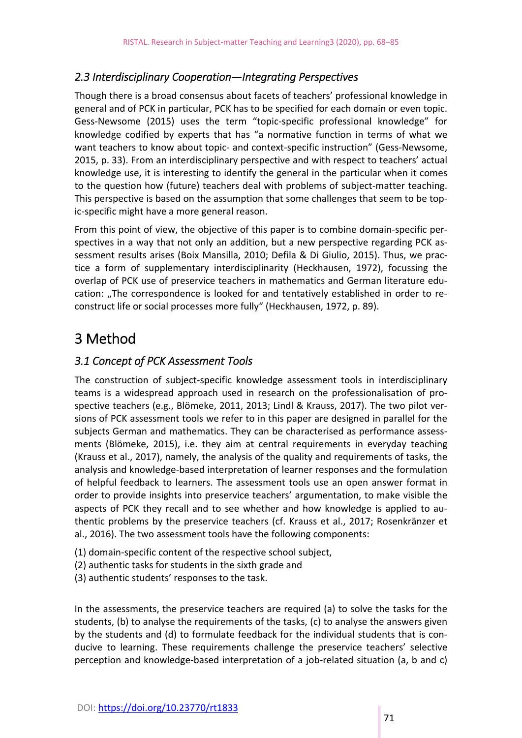#### *2.3 Interdisciplinary Cooperation—Integrating Perspectives*

Though there is a broad consensus about facets of teachers' professional knowledge in general and of PCK in particular, PCK has to be specified for each domain or even topic. Gess‐Newsome (2015) uses the term "topic‐specific professional knowledge" for knowledge codified by experts that has "a normative function in terms of what we want teachers to know about topic‐ and context‐specific instruction" (Gess‐Newsome, 2015, p. 33). From an interdisciplinary perspective and with respect to teachers' actual knowledge use, it is interesting to identify the general in the particular when it comes to the question how (future) teachers deal with problems of subject-matter teaching. This perspective is based on the assumption that some challenges that seem to be top‐ ic‐specific might have a more general reason.

From this point of view, the objective of this paper is to combine domain‐specific per‐ spectives in a way that not only an addition, but a new perspective regarding PCK as‐ sessment results arises (Boix Mansilla, 2010; Defila & Di Giulio, 2015). Thus, we prac‐ tice a form of supplementary interdisciplinarity (Heckhausen, 1972), focussing the overlap of PCK use of preservice teachers in mathematics and German literature edu‐ cation: "The correspondence is looked for and tentatively established in order to reconstruct life or social processes more fully" (Heckhausen, 1972, p. 89).

## 3 Method

#### *3.1 Concept of PCK Assessment Tools*

The construction of subject-specific knowledge assessment tools in interdisciplinary teams is a widespread approach used in research on the professionalisation of prospective teachers (e.g., Blömeke, 2011, 2013; Lindl & Krauss, 2017). The two pilot ver‐ sions of PCK assessment tools we refer to in this paper are designed in parallel for the subjects German and mathematics. They can be characterised as performance assessments (Blömeke, 2015), i.e. they aim at central requirements in everyday teaching (Krauss et al., 2017), namely, the analysis of the quality and requirements of tasks, the analysis and knowledge‐based interpretation of learner responses and the formulation of helpful feedback to learners. The assessment tools use an open answer format in order to provide insights into preservice teachers' argumentation, to make visible the aspects of PCK they recall and to see whether and how knowledge is applied to au‐ thentic problems by the preservice teachers (cf. Krauss et al., 2017; Rosenkränzer et al., 2016). The two assessment tools have the following components:

- (1) domain‐specific content of the respective school subject,
- (2) authentic tasks for students in the sixth grade and
- (3) authentic students' responses to the task.

In the assessments, the preservice teachers are required (a) to solve the tasks for the students, (b) to analyse the requirements of the tasks, (c) to analyse the answers given by the students and (d) to formulate feedback for the individual students that is con‐ ducive to learning. These requirements challenge the preservice teachers' selective perception and knowledge-based interpretation of a job-related situation (a, b and c)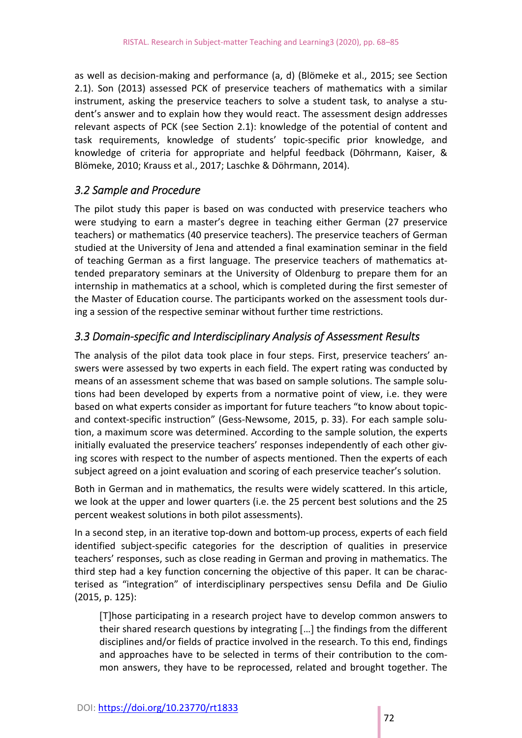as well as decision‐making and performance (a, d) (Blömeke et al., 2015; see Section 2.1). Son (2013) assessed PCK of preservice teachers of mathematics with a similar instrument, asking the preservice teachers to solve a student task, to analyse a stu‐ dent's answer and to explain how they would react. The assessment design addresses relevant aspects of PCK (see Section 2.1): knowledge of the potential of content and task requirements, knowledge of students' topic‐specific prior knowledge, and knowledge of criteria for appropriate and helpful feedback (Döhrmann, Kaiser, & Blömeke, 2010; Krauss et al., 2017; Laschke & Döhrmann, 2014).

#### *3.2 Sample and Procedure*

The pilot study this paper is based on was conducted with preservice teachers who were studying to earn a master's degree in teaching either German (27 preservice teachers) or mathematics (40 preservice teachers). The preservice teachers of German studied at the University of Jena and attended a final examination seminar in the field of teaching German as a first language. The preservice teachers of mathematics at‐ tended preparatory seminars at the University of Oldenburg to prepare them for an internship in mathematics at a school, which is completed during the first semester of the Master of Education course. The participants worked on the assessment tools dur‐ ing a session of the respective seminar without further time restrictions.

#### *3.3 Domain‐specific and Interdisciplinary Analysis of Assessment Results*

The analysis of the pilot data took place in four steps. First, preservice teachers' answers were assessed by two experts in each field. The expert rating was conducted by means of an assessment scheme that was based on sample solutions. The sample solu‐ tions had been developed by experts from a normative point of view, i.e. they were based on what experts consider as important for future teachers "to know about topic‐ and context-specific instruction" (Gess-Newsome, 2015, p. 33). For each sample solution, a maximum score was determined. According to the sample solution, the experts initially evaluated the preservice teachers' responses independently of each other giving scores with respect to the number of aspects mentioned. Then the experts of each subject agreed on a joint evaluation and scoring of each preservice teacher's solution.

Both in German and in mathematics, the results were widely scattered. In this article, we look at the upper and lower quarters (i.e. the 25 percent best solutions and the 25 percent weakest solutions in both pilot assessments).

In a second step, in an iterative top‐down and bottom‐up process, experts of each field identified subject‐specific categories for the description of qualities in preservice teachers' responses, such as close reading in German and proving in mathematics. The third step had a key function concerning the objective of this paper. It can be charac‐ terised as "integration" of interdisciplinary perspectives sensu Defila and De Giulio (2015, p. 125):

Those participating in a research project have to develop common answers to their shared research questions by integrating [...] the findings from the different disciplines and/or fields of practice involved in the research. To this end, findings and approaches have to be selected in terms of their contribution to the common answers, they have to be reprocessed, related and brought together. The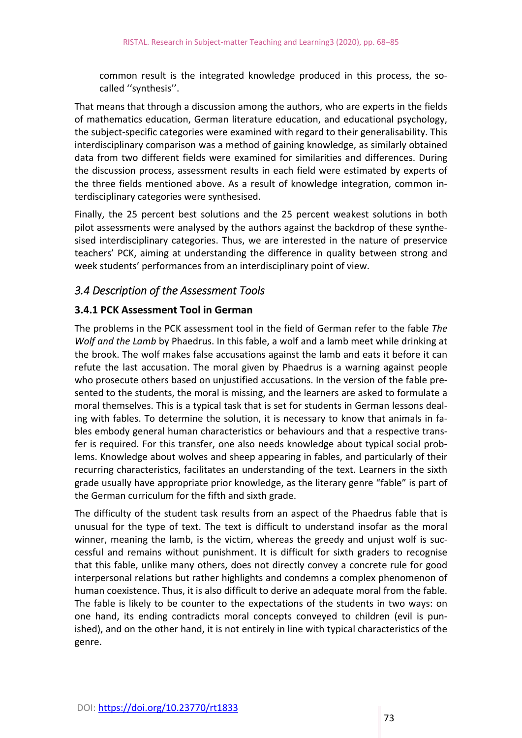common result is the integrated knowledge produced in this process, the socalled ''synthesis''.

That means that through a discussion among the authors, who are experts in the fields of mathematics education, German literature education, and educational psychology, the subject‐specific categories were examined with regard to their generalisability. This interdisciplinary comparison was a method of gaining knowledge, as similarly obtained data from two different fields were examined for similarities and differences. During the discussion process, assessment results in each field were estimated by experts of the three fields mentioned above. As a result of knowledge integration, common in‐ terdisciplinary categories were synthesised.

Finally, the 25 percent best solutions and the 25 percent weakest solutions in both pilot assessments were analysed by the authors against the backdrop of these synthe‐ sised interdisciplinary categories. Thus, we are interested in the nature of preservice teachers' PCK, aiming at understanding the difference in quality between strong and week students' performances from an interdisciplinary point of view.

#### *3.4 Description of the Assessment Tools*

#### **3.4.1 PCK Assessment Tool in German**

The problems in the PCK assessment tool in the field of German refer to the fable *The Wolf and the Lamb* by Phaedrus. In this fable, a wolf and a lamb meet while drinking at the brook. The wolf makes false accusations against the lamb and eats it before it can refute the last accusation. The moral given by Phaedrus is a warning against people who prosecute others based on unjustified accusations. In the version of the fable presented to the students, the moral is missing, and the learners are asked to formulate a moral themselves. This is a typical task that is set for students in German lessons deal‐ ing with fables. To determine the solution, it is necessary to know that animals in fables embody general human characteristics or behaviours and that a respective trans‐ fer is required. For this transfer, one also needs knowledge about typical social problems. Knowledge about wolves and sheep appearing in fables, and particularly of their recurring characteristics, facilitates an understanding of the text. Learners in the sixth grade usually have appropriate prior knowledge, as the literary genre "fable" is part of the German curriculum for the fifth and sixth grade.

The difficulty of the student task results from an aspect of the Phaedrus fable that is unusual for the type of text. The text is difficult to understand insofar as the moral winner, meaning the lamb, is the victim, whereas the greedy and unjust wolf is successful and remains without punishment. It is difficult for sixth graders to recognise that this fable, unlike many others, does not directly convey a concrete rule for good interpersonal relations but rather highlights and condemns a complex phenomenon of human coexistence. Thus, it is also difficult to derive an adequate moral from the fable. The fable is likely to be counter to the expectations of the students in two ways: on one hand, its ending contradicts moral concepts conveyed to children (evil is pun‐ ished), and on the other hand, it is not entirely in line with typical characteristics of the genre.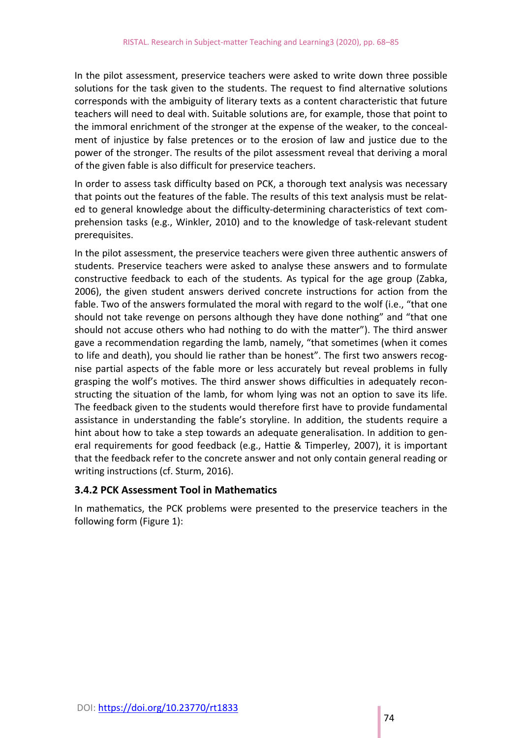In the pilot assessment, preservice teachers were asked to write down three possible solutions for the task given to the students. The request to find alternative solutions corresponds with the ambiguity of literary texts as a content characteristic that future teachers will need to deal with. Suitable solutions are, for example, those that point to the immoral enrichment of the stronger at the expense of the weaker, to the conceal‐ ment of injustice by false pretences or to the erosion of law and justice due to the power of the stronger. The results of the pilot assessment reveal that deriving a moral of the given fable is also difficult for preservice teachers.

In order to assess task difficulty based on PCK, a thorough text analysis was necessary that points out the features of the fable. The results of this text analysis must be relat‐ ed to general knowledge about the difficulty‐determining characteristics of text com‐ prehension tasks (e.g., Winkler, 2010) and to the knowledge of task‐relevant student prerequisites.

In the pilot assessment, the preservice teachers were given three authentic answers of students. Preservice teachers were asked to analyse these answers and to formulate constructive feedback to each of the students. As typical for the age group (Zabka, 2006), the given student answers derived concrete instructions for action from the fable. Two of the answers formulated the moral with regard to the wolf (i.e., "that one should not take revenge on persons although they have done nothing" and "that one should not accuse others who had nothing to do with the matter"). The third answer gave a recommendation regarding the lamb, namely, "that sometimes (when it comes to life and death), you should lie rather than be honest". The first two answers recognise partial aspects of the fable more or less accurately but reveal problems in fully grasping the wolf's motives. The third answer shows difficulties in adequately recon‐ structing the situation of the lamb, for whom lying was not an option to save its life. The feedback given to the students would therefore first have to provide fundamental assistance in understanding the fable's storyline. In addition, the students require a hint about how to take a step towards an adequate generalisation. In addition to gen‐ eral requirements for good feedback (e.g., Hattie & Timperley, 2007), it is important that the feedback refer to the concrete answer and not only contain general reading or writing instructions (cf. Sturm, 2016).

#### **3.4.2 PCK Assessment Tool in Mathematics**

In mathematics, the PCK problems were presented to the preservice teachers in the following form (Figure 1):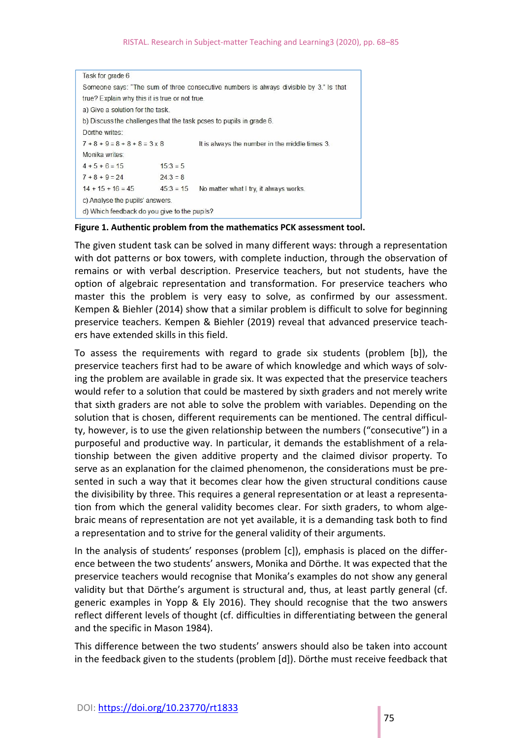#### RISTAL. Research in Subject-matter Teaching and Learning3 (2020), pp. 68-85

```
Task for grade 6
Someone says: "The sum of three consecutive numbers is always divisible by 3." Is that
true? Explain why this it is true or not true.
a) Give a solution for the task.
b) Discuss the challenges that the task poses to pupils in grade 6.
Dörthe writes:
7 + 8 + 9 = 8 + 8 + 8 = 3 \times 8It is always the number in the middle times 3.
Monika writes:
4 + 5 + 6 = 1515:3 = 57 + 8 + 9 = 2424:3 = 814 + 15 + 16 = 4545:3 = 15 No matter what I try, it always works.
c) Analyse the pupils' answers.
d) Which feedback do you give to the pupils?
```
#### **Figure 1. Authentic problem from the mathematics PCK assessment tool.**

The given student task can be solved in many different ways: through a representation with dot patterns or box towers, with complete induction, through the observation of remains or with verbal description. Preservice teachers, but not students, have the option of algebraic representation and transformation. For preservice teachers who master this the problem is very easy to solve, as confirmed by our assessment. Kempen & Biehler (2014) show that a similar problem is difficult to solve for beginning preservice teachers. Kempen & Biehler (2019) reveal that advanced preservice teach‐ ers have extended skills in this field.

To assess the requirements with regard to grade six students (problem [b]), the preservice teachers first had to be aware of which knowledge and which ways of solv‐ ing the problem are available in grade six. It was expected that the preservice teachers would refer to a solution that could be mastered by sixth graders and not merely write that sixth graders are not able to solve the problem with variables. Depending on the solution that is chosen, different requirements can be mentioned. The central difficul‐ ty, however, is to use the given relationship between the numbers ("consecutive") in a purposeful and productive way. In particular, it demands the establishment of a rela‐ tionship between the given additive property and the claimed divisor property. To serve as an explanation for the claimed phenomenon, the considerations must be pre‐ sented in such a way that it becomes clear how the given structural conditions cause the divisibility by three. This requires a general representation or at least a representa‐ tion from which the general validity becomes clear. For sixth graders, to whom algebraic means of representation are not yet available, it is a demanding task both to find a representation and to strive for the general validity of their arguments.

In the analysis of students' responses (problem [c]), emphasis is placed on the differ‐ ence between the two students' answers, Monika and Dörthe. It was expected that the preservice teachers would recognise that Monika's examples do not show any general validity but that Dörthe's argument is structural and, thus, at least partly general (cf. generic examples in Yopp & Ely 2016). They should recognise that the two answers reflect different levels of thought (cf. difficulties in differentiating between the general and the specific in Mason 1984).

This difference between the two students' answers should also be taken into account in the feedback given to the students (problem [d]). Dörthe must receive feedback that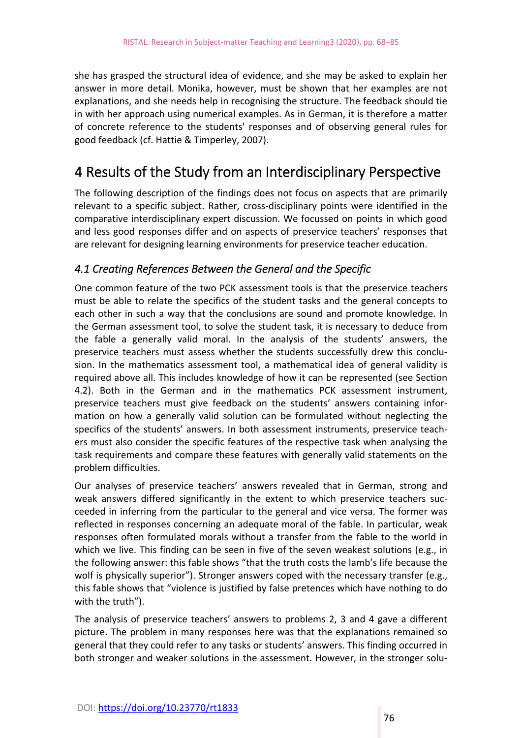she has grasped the structural idea of evidence, and she may be asked to explain her answer in more detail. Monika, however, must be shown that her examples are not explanations, and she needs help in recognising the structure. The feedback should tie in with her approach using numerical examples. As in German, it is therefore a matter of concrete reference to the students' responses and of observing general rules for good feedback (cf. Hattie & Timperley, 2007).

## 4 Results of the Study from an Interdisciplinary Perspective

The following description of the findings does not focus on aspects that are primarily relevant to a specific subject. Rather, cross-disciplinary points were identified in the comparative interdisciplinary expert discussion. We focussed on points in which good and less good responses differ and on aspects of preservice teachers' responses that are relevant for designing learning environments for preservice teacher education.

#### *4.1 Creating References Between the General and the Specific*

One common feature of the two PCK assessment tools is that the preservice teachers must be able to relate the specifics of the student tasks and the general concepts to each other in such a way that the conclusions are sound and promote knowledge. In the German assessment tool, to solve the student task, it is necessary to deduce from the fable a generally valid moral. In the analysis of the students' answers, the preservice teachers must assess whether the students successfully drew this conclusion. In the mathematics assessment tool, a mathematical idea of general validity is required above all. This includes knowledge of how it can be represented (see Section 4.2). Both in the German and in the mathematics PCK assessment instrument, preservice teachers must give feedback on the students' answers containing information on how a generally valid solution can be formulated without neglecting the specifics of the students' answers. In both assessment instruments, preservice teachers must also consider the specific features of the respective task when analysing the task requirements and compare these features with generally valid statements on the problem difficulties.

Our analyses of preservice teachers' answers revealed that in German, strong and weak answers differed significantly in the extent to which preservice teachers succeeded in inferring from the particular to the general and vice versa. The former was reflected in responses concerning an adequate moral of the fable. In particular, weak responses often formulated morals without a transfer from the fable to the world in which we live. This finding can be seen in five of the seven weakest solutions (e.g., in the following answer: this fable shows "that the truth costs the lamb's life because the wolf is physically superior"). Stronger answers coped with the necessary transfer (e.g., this fable shows that "violence is justified by false pretences which have nothing to do with the truth").

The analysis of preservice teachers' answers to problems 2, 3 and 4 gave a different picture. The problem in many responses here was that the explanations remained so general that they could refer to any tasks or students' answers. This finding occurred in both stronger and weaker solutions in the assessment. However, in the stronger solu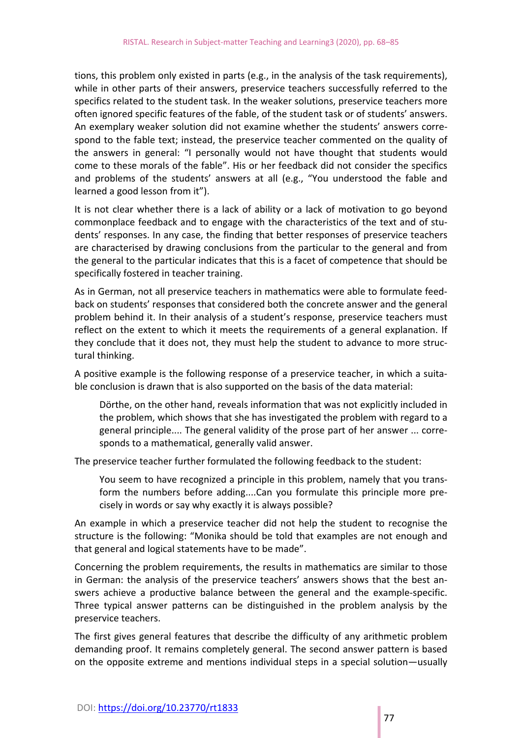tions, this problem only existed in parts (e.g., in the analysis of the task requirements), while in other parts of their answers, preservice teachers successfully referred to the specifics related to the student task. In the weaker solutions, preservice teachers more often ignored specific features of the fable, of the student task or of students' answers. An exemplary weaker solution did not examine whether the students' answers corre‐ spond to the fable text; instead, the preservice teacher commented on the quality of the answers in general: "I personally would not have thought that students would come to these morals of the fable". His or her feedback did not consider the specifics and problems of the students' answers at all (e.g., "You understood the fable and learned a good lesson from it").

It is not clear whether there is a lack of ability or a lack of motivation to go beyond commonplace feedback and to engage with the characteristics of the text and of stu‐ dents' responses. In any case, the finding that better responses of preservice teachers are characterised by drawing conclusions from the particular to the general and from the general to the particular indicates that this is a facet of competence that should be specifically fostered in teacher training.

As in German, not all preservice teachers in mathematics were able to formulate feed‐ back on students' responses that considered both the concrete answer and the general problem behind it. In their analysis of a student's response, preservice teachers must reflect on the extent to which it meets the requirements of a general explanation. If they conclude that it does not, they must help the student to advance to more struc‐ tural thinking.

A positive example is the following response of a preservice teacher, in which a suita‐ ble conclusion is drawn that is also supported on the basis of the data material:

Dörthe, on the other hand, reveals information that was not explicitly included in the problem, which shows that she has investigated the problem with regard to a general principle.... The general validity of the prose part of her answer ... corre‐ sponds to a mathematical, generally valid answer.

The preservice teacher further formulated the following feedback to the student:

You seem to have recognized a principle in this problem, namely that you trans‐ form the numbers before adding....Can you formulate this principle more precisely in words or say why exactly it is always possible?

An example in which a preservice teacher did not help the student to recognise the structure is the following: "Monika should be told that examples are not enough and that general and logical statements have to be made".

Concerning the problem requirements, the results in mathematics are similar to those in German: the analysis of the preservice teachers' answers shows that the best answers achieve a productive balance between the general and the example-specific. Three typical answer patterns can be distinguished in the problem analysis by the preservice teachers.

The first gives general features that describe the difficulty of any arithmetic problem demanding proof. It remains completely general. The second answer pattern is based on the opposite extreme and mentions individual steps in a special solution—usually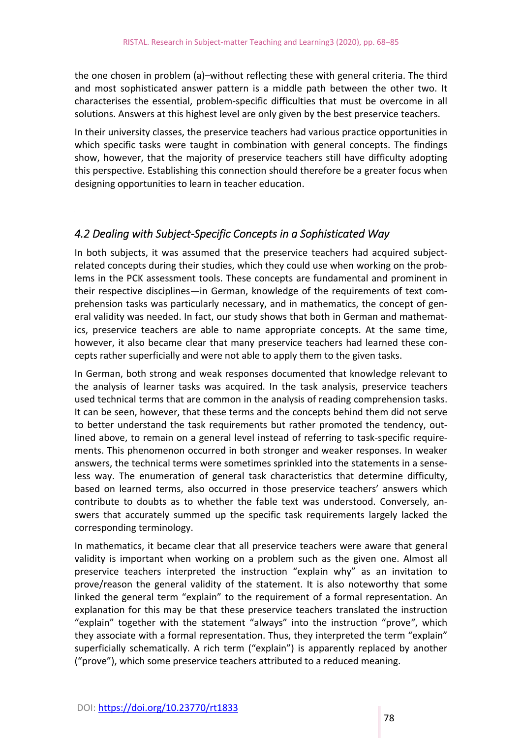the one chosen in problem (a)–without reflecting these with general criteria. The third and most sophisticated answer pattern is a middle path between the other two. It characterises the essential, problem‐specific difficulties that must be overcome in all solutions. Answers at this highest level are only given by the best preservice teachers.

In their university classes, the preservice teachers had various practice opportunities in which specific tasks were taught in combination with general concepts. The findings show, however, that the majority of preservice teachers still have difficulty adopting this perspective. Establishing this connection should therefore be a greater focus when designing opportunities to learn in teacher education.

#### *4.2 Dealing with Subject‐Specific Concepts in a Sophisticated Way*

In both subjects, it was assumed that the preservice teachers had acquired subject‐ related concepts during their studies, which they could use when working on the prob‐ lems in the PCK assessment tools. These concepts are fundamental and prominent in their respective disciplines—in German, knowledge of the requirements of text com‐ prehension tasks was particularly necessary, and in mathematics, the concept of gen‐ eral validity was needed. In fact, our study shows that both in German and mathemat‐ ics, preservice teachers are able to name appropriate concepts. At the same time, however, it also became clear that many preservice teachers had learned these concepts rather superficially and were not able to apply them to the given tasks.

In German, both strong and weak responses documented that knowledge relevant to the analysis of learner tasks was acquired. In the task analysis, preservice teachers used technical terms that are common in the analysis of reading comprehension tasks. It can be seen, however, that these terms and the concepts behind them did not serve to better understand the task requirements but rather promoted the tendency, out‐ lined above, to remain on a general level instead of referring to task‐specific require‐ ments. This phenomenon occurred in both stronger and weaker responses. In weaker answers, the technical terms were sometimes sprinkled into the statements in a sense‐ less way. The enumeration of general task characteristics that determine difficulty, based on learned terms, also occurred in those preservice teachers' answers which contribute to doubts as to whether the fable text was understood. Conversely, an‐ swers that accurately summed up the specific task requirements largely lacked the corresponding terminology.

In mathematics, it became clear that all preservice teachers were aware that general validity is important when working on a problem such as the given one. Almost all preservice teachers interpreted the instruction "explain why" as an invitation to prove/reason the general validity of the statement. It is also noteworthy that some linked the general term "explain" to the requirement of a formal representation. An explanation for this may be that these preservice teachers translated the instruction "explain" together with the statement "always" into the instruction "prove*"*, which they associate with a formal representation. Thus, they interpreted the term "explain" superficially schematically. A rich term ("explain") is apparently replaced by another ("prove"), which some preservice teachers attributed to a reduced meaning.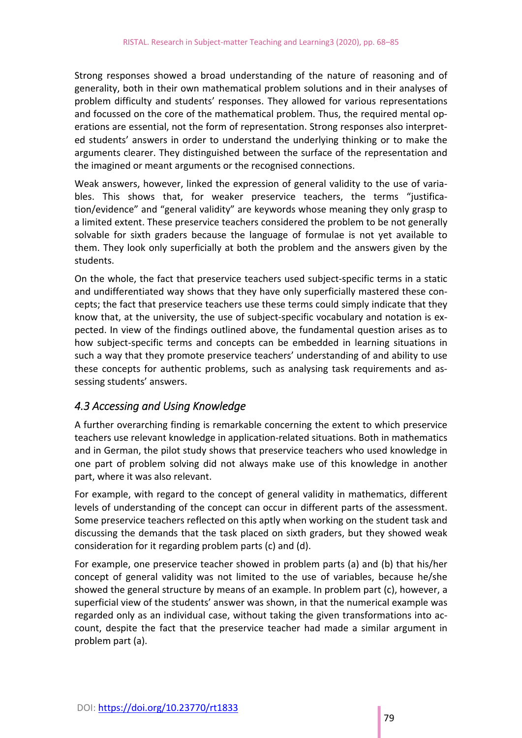Strong responses showed a broad understanding of the nature of reasoning and of generality, both in their own mathematical problem solutions and in their analyses of problem difficulty and students' responses. They allowed for various representations and focussed on the core of the mathematical problem. Thus, the required mental op‐ erations are essential, not the form of representation. Strong responses also interpret‐ ed students' answers in order to understand the underlying thinking or to make the arguments clearer. They distinguished between the surface of the representation and the imagined or meant arguments or the recognised connections.

Weak answers, however, linked the expression of general validity to the use of varia‐ bles. This shows that, for weaker preservice teachers, the terms "justification/evidence" and "general validity" are keywords whose meaning they only grasp to a limited extent. These preservice teachers considered the problem to be not generally solvable for sixth graders because the language of formulae is not yet available to them. They look only superficially at both the problem and the answers given by the students.

On the whole, the fact that preservice teachers used subject‐specific terms in a static and undifferentiated way shows that they have only superficially mastered these con‐ cepts; the fact that preservice teachers use these terms could simply indicate that they know that, at the university, the use of subject-specific vocabulary and notation is expected. In view of the findings outlined above, the fundamental question arises as to how subject-specific terms and concepts can be embedded in learning situations in such a way that they promote preservice teachers' understanding of and ability to use these concepts for authentic problems, such as analysing task requirements and assessing students' answers.

#### *4.3 Accessing and Using Knowledge*

A further overarching finding is remarkable concerning the extent to which preservice teachers use relevant knowledge in application‐related situations. Both in mathematics and in German, the pilot study shows that preservice teachers who used knowledge in one part of problem solving did not always make use of this knowledge in another part, where it was also relevant.

For example, with regard to the concept of general validity in mathematics, different levels of understanding of the concept can occur in different parts of the assessment. Some preservice teachers reflected on this aptly when working on the student task and discussing the demands that the task placed on sixth graders, but they showed weak consideration for it regarding problem parts (c) and (d).

For example, one preservice teacher showed in problem parts (a) and (b) that his/her concept of general validity was not limited to the use of variables, because he/she showed the general structure by means of an example. In problem part (c), however, a superficial view of the students' answer was shown, in that the numerical example was regarded only as an individual case, without taking the given transformations into ac‐ count, despite the fact that the preservice teacher had made a similar argument in problem part (a).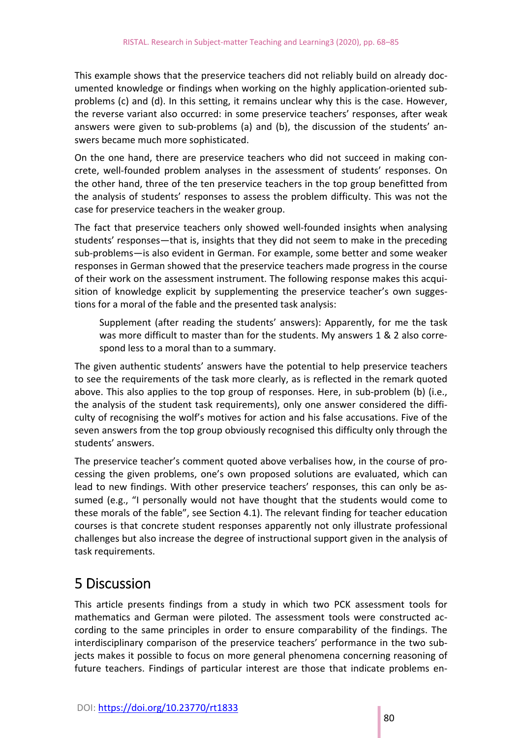This example shows that the preservice teachers did not reliably build on already doc‐ umented knowledge or findings when working on the highly application‐oriented sub‐ problems (c) and (d). In this setting, it remains unclear why this is the case. However, the reverse variant also occurred: in some preservice teachers' responses, after weak answers were given to sub-problems (a) and (b), the discussion of the students' answers became much more sophisticated.

On the one hand, there are preservice teachers who did not succeed in making con‐ crete, well-founded problem analyses in the assessment of students' responses. On the other hand, three of the ten preservice teachers in the top group benefitted from the analysis of students' responses to assess the problem difficulty. This was not the case for preservice teachers in the weaker group.

The fact that preservice teachers only showed well-founded insights when analysing students' responses—that is, insights that they did not seem to make in the preceding sub‐problems—is also evident in German. For example, some better and some weaker responses in German showed that the preservice teachers made progress in the course of their work on the assessment instrument. The following response makes this acqui‐ sition of knowledge explicit by supplementing the preservice teacher's own suggestions for a moral of the fable and the presented task analysis:

Supplement (after reading the students' answers): Apparently, for me the task was more difficult to master than for the students. My answers 1 & 2 also correspond less to a moral than to a summary.

The given authentic students' answers have the potential to help preservice teachers to see the requirements of the task more clearly, as is reflected in the remark quoted above. This also applies to the top group of responses. Here, in sub‐problem (b) (i.e., the analysis of the student task requirements), only one answer considered the difficulty of recognising the wolf's motives for action and his false accusations. Five of the seven answers from the top group obviously recognised this difficulty only through the students' answers.

The preservice teacher's comment quoted above verbalises how, in the course of pro‐ cessing the given problems, one's own proposed solutions are evaluated, which can lead to new findings. With other preservice teachers' responses, this can only be assumed (e.g., "I personally would not have thought that the students would come to these morals of the fable", see Section 4.1). The relevant finding for teacher education courses is that concrete student responses apparently not only illustrate professional challenges but also increase the degree of instructional support given in the analysis of task requirements.

# 5 Discussion

This article presents findings from a study in which two PCK assessment tools for mathematics and German were piloted. The assessment tools were constructed ac‐ cording to the same principles in order to ensure comparability of the findings. The interdisciplinary comparison of the preservice teachers' performance in the two subjects makes it possible to focus on more general phenomena concerning reasoning of future teachers. Findings of particular interest are those that indicate problems en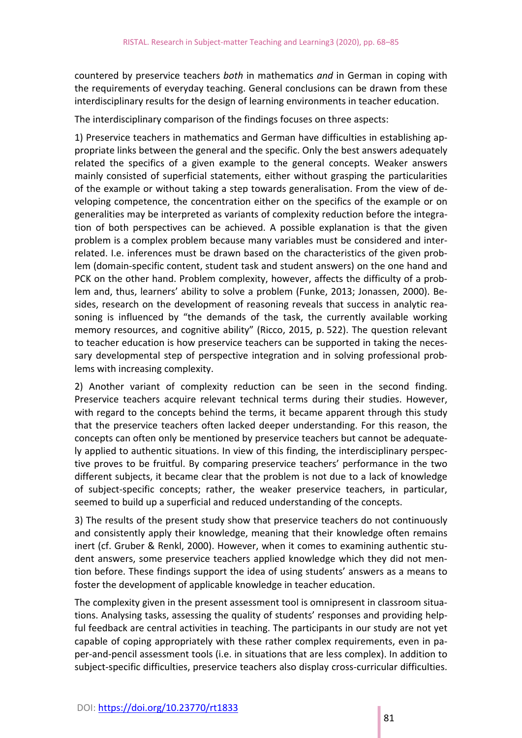countered by preservice teachers *both* in mathematics *and* in German in coping with the requirements of everyday teaching. General conclusions can be drawn from these interdisciplinary results for the design of learning environments in teacher education.

The interdisciplinary comparison of the findings focuses on three aspects:

1) Preservice teachers in mathematics and German have difficulties in establishing ap‐ propriate links between the general and the specific. Only the best answers adequately related the specifics of a given example to the general concepts. Weaker answers mainly consisted of superficial statements, either without grasping the particularities of the example or without taking a step towards generalisation. From the view of de‐ veloping competence, the concentration either on the specifics of the example or on generalities may be interpreted as variants of complexity reduction before the integra‐ tion of both perspectives can be achieved. A possible explanation is that the given problem is a complex problem because many variables must be considered and inter‐ related. I.e. inferences must be drawn based on the characteristics of the given prob‐ lem (domain‐specific content, student task and student answers) on the one hand and PCK on the other hand. Problem complexity, however, affects the difficulty of a prob‐ lem and, thus, learners' ability to solve a problem (Funke, 2013; Jonassen, 2000). Be‐ sides, research on the development of reasoning reveals that success in analytic reasoning is influenced by "the demands of the task, the currently available working memory resources, and cognitive ability" (Ricco, 2015, p. 522). The question relevant to teacher education is how preservice teachers can be supported in taking the neces‐ sary developmental step of perspective integration and in solving professional problems with increasing complexity.

2) Another variant of complexity reduction can be seen in the second finding. Preservice teachers acquire relevant technical terms during their studies. However, with regard to the concepts behind the terms, it became apparent through this study that the preservice teachers often lacked deeper understanding. For this reason, the concepts can often only be mentioned by preservice teachers but cannot be adequate‐ ly applied to authentic situations. In view of this finding, the interdisciplinary perspec‐ tive proves to be fruitful. By comparing preservice teachers' performance in the two different subjects, it became clear that the problem is not due to a lack of knowledge of subject‐specific concepts; rather, the weaker preservice teachers, in particular, seemed to build up a superficial and reduced understanding of the concepts.

3) The results of the present study show that preservice teachers do not continuously and consistently apply their knowledge, meaning that their knowledge often remains inert (cf. Gruber & Renkl, 2000). However, when it comes to examining authentic stu‐ dent answers, some preservice teachers applied knowledge which they did not mention before. These findings support the idea of using students' answers as a means to foster the development of applicable knowledge in teacher education.

The complexity given in the present assessment tool is omnipresent in classroom situations. Analysing tasks, assessing the quality of students' responses and providing help‐ ful feedback are central activities in teaching. The participants in our study are not yet capable of coping appropriately with these rather complex requirements, even in pa‐ per‐and‐pencil assessment tools (i.e. in situations that are less complex). In addition to subject‐specific difficulties, preservice teachers also display cross‐curricular difficulties.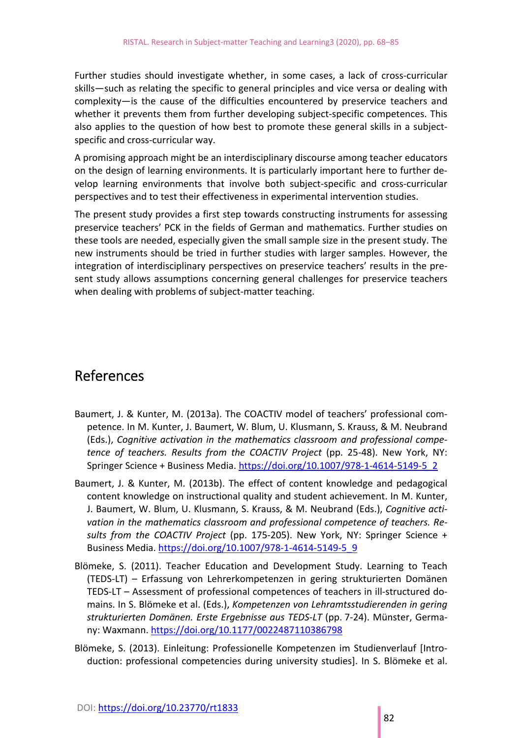Further studies should investigate whether, in some cases, a lack of cross‐curricular skills—such as relating the specific to general principles and vice versa or dealing with complexity—is the cause of the difficulties encountered by preservice teachers and whether it prevents them from further developing subject-specific competences. This also applies to the question of how best to promote these general skills in a subjectspecific and cross‐curricular way.

A promising approach might be an interdisciplinary discourse among teacher educators on the design of learning environments. It is particularly important here to further de‐ velop learning environments that involve both subject‐specific and cross‐curricular perspectives and to test their effectiveness in experimental intervention studies.

The present study provides a first step towards constructing instruments for assessing preservice teachers' PCK in the fields of German and mathematics. Further studies on these tools are needed, especially given the small sample size in the present study. The new instruments should be tried in further studies with larger samples. However, the integration of interdisciplinary perspectives on preservice teachers' results in the pre‐ sent study allows assumptions concerning general challenges for preservice teachers when dealing with problems of subject-matter teaching.

### References

- Baumert, J. & Kunter, M. (2013a). The COACTIV model of teachers' professional com‐ petence. In M. Kunter, J. Baumert, W. Blum, U. Klusmann, S. Krauss, & M. Neubrand (Eds.), *Cognitive activation in the mathematics classroom and professional compe‐ tence of teachers. Results from the COACTIV Project* (pp. 25‐48). New York, NY: Springer Science + Business Media. https://doi.org/10.1007/978‐1‐4614‐5149‐5\_2
- Baumert, J. & Kunter, M. (2013b). The effect of content knowledge and pedagogical content knowledge on instructional quality and student achievement. In M. Kunter, J. Baumert, W. Blum, U. Klusmann, S. Krauss, & M. Neubrand (Eds.), *Cognitive acti‐ vation in the mathematics classroom and professional competence of teachers. Re‐ sults from the COACTIV Project* (pp. 175‐205). New York, NY: Springer Science + Business Media. https://doi.org/10.1007/978‐1‐4614‐5149‐5\_9
- Blömeke, S. (2011). Teacher Education and Development Study. Learning to Teach (TEDS‐LT) – Erfassung von Lehrerkompetenzen in gering strukturierten Domänen TEDS‐LT – Assessment of professional competences of teachers in ill‐structured do‐ mains. In S. Blömeke et al. (Eds.), *Kompetenzen von Lehramtsstudierenden in gering strukturierten Domänen. Erste Ergebnisse aus TEDS‐LT* (pp. 7‐24). Münster, Germa‐ ny: Waxmann. https://doi.org/10.1177/0022487110386798
- Blömeke, S. (2013). Einleitung: Professionelle Kompetenzen im Studienverlauf [Intro‐ duction: professional competencies during university studies]. In S. Blömeke et al.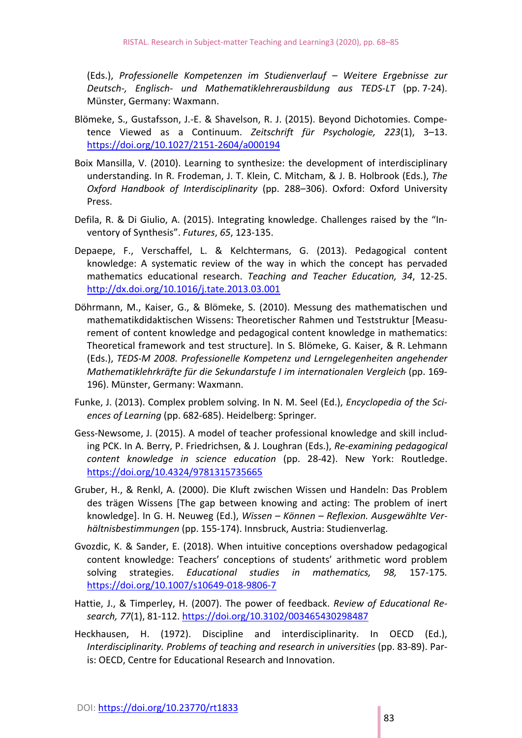(Eds.), *Professionelle Kompetenzen im Studienverlauf – Weitere Ergebnisse zur Deutsch‐, Englisch‐ und Mathematiklehrerausbildung aus TEDS‐LT*  (pp. 7‐24). Münster, Germany: Waxmann.

- Blömeke, S., Gustafsson, J.‐E. & Shavelson, R. J. (2015). Beyond Dichotomies. Compe‐ tence Viewed as a Continuum. *Zeitschrift für Psychologie, 223*(1), 3–13. https://doi.org/10.1027/2151‐2604/a000194
- Boix Mansilla, V. (2010). Learning to synthesize: the development of interdisciplinary understanding. In R. Frodeman, J. T. Klein, C. Mitcham, & J. B. Holbrook (Eds.), *The Oxford Handbook of Interdisciplinarity*  (pp. 288–306). Oxford: Oxford University Press.
- Defila, R. & Di Giulio, A. (2015). Integrating knowledge. Challenges raised by the "Inventory of Synthesis". *Futures*, *65*, 123‐135.
- Depaepe, F., Verschaffel, L. & Kelchtermans, G. (2013). Pedagogical content knowledge: A systematic review of the way in which the concept has pervaded mathematics educational research. *Teaching and Teacher Education, 34*, 12‐25. http://dx.doi.org/10.1016/j.tate.2013.03.001
- Döhrmann, M., Kaiser, G., & Blömeke, S. (2010). Messung des mathematischen und mathematikdidaktischen Wissens: Theoretischer Rahmen und Teststruktur [Measu‐ rement of content knowledge and pedagogical content knowledge in mathematics: Theoretical framework and test structure]. In S. Blömeke, G. Kaiser, & R. Lehmann (Eds.), *TEDS‐M 2008. Professionelle Kompetenz und Lerngelegenheiten angehender Mathematiklehrkräfte für die Sekundarstufe I im internationalen Vergleich* (pp. 169‐ 196). Münster, Germany: Waxmann.
- Funke, J. (2013). Complex problem solving. In N. M. Seel (Ed.), *Encyclopedia of the Sci‐ ences of Learning* (pp. 682‐685). Heidelberg: Springer*.*
- Gess‐Newsome, J. (2015). A model of teacher professional knowledge and skill includ‐ ing PCK. In A. Berry, P. Friedrichsen, & J. Loughran (Eds.), *Re‐examining pedagogical content knowledge in science education* (pp. 28‐42). New York: Routledge. https://doi.org/10.4324/9781315735665
- Gruber, H., & Renkl, A. (2000). Die Kluft zwischen Wissen und Handeln: Das Problem des trägen Wissens [The gap between knowing and acting: The problem of inert knowledge]. In G. H. Neuweg (Ed.), *Wissen – Können – Reflexion. Ausgewählte Ver‐ hältnisbestimmungen* (pp. 155‐174). Innsbruck, Austria: Studienverlag.
- Gvozdic, K. & Sander, E. (2018). When intuitive conceptions overshadow pedagogical content knowledge: Teachers' conceptions of students' arithmetic word problem solving strategies. *Educational studies in mathematics, 98,*  157‐175*.*  https://doi.org/10.1007/s10649‐018‐9806‐7
- Hattie, J., & Timperley, H. (2007). The power of feedback. *Review of Educational Re‐ search, 77*(1), 81‐112. https://doi.org/10.3102/003465430298487
- Heckhausen, H. (1972). Discipline and interdisciplinarity. In OECD (Ed.), *Interdisciplinarity. Problems of teaching and research in universities* (pp. 83‐89). Par‐ is: OECD, Centre for Educational Research and Innovation.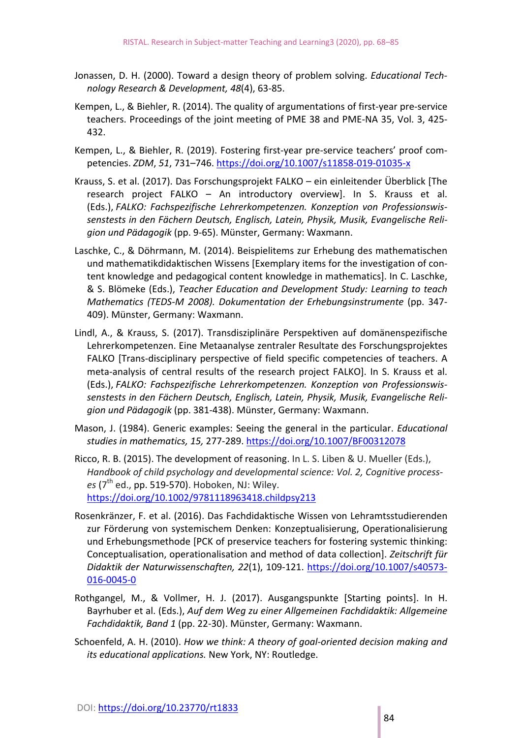- Jonassen, D. H. (2000). Toward a design theory of problem solving. *Educational Tech‐ nology Research & Development, 48*(4), 63‐85.
- Kempen, L., & Biehler, R. (2014). The quality of argumentations of first‐year pre‐service teachers. Proceedings of the joint meeting of PME 38 and PME‐NA 35, Vol. 3, 425‐ 432.
- Kempen, L., & Biehler, R. (2019). Fostering first‐year pre‐service teachers' proof com‐ petencies. *ZDM*, *51*, 731–746. https://doi.org/10.1007/s11858‐019‐01035‐x
- Krauss, S. et al. (2017). Das Forschungsprojekt FALKO ein einleitender Überblick [The research project FALKO – An introductory overview]. In S. Krauss et al. (Eds.), *FALKO: Fachspezifische Lehrerkompetenzen. Konzeption von Professionswis‐ senstests in den Fächern Deutsch, Englisch, Latein, Physik, Musik, Evangelische Reli‐ gion und Pädagogik* (pp. 9‐65). Münster, Germany: Waxmann.
- Laschke, C., & Döhrmann, M. (2014). Beispielitems zur Erhebung des mathematischen und mathematikdidaktischen Wissens [Exemplary items for the investigation of content knowledge and pedagogical content knowledge in mathematics]. In C. Laschke, & S. Blömeke (Eds.), *Teacher Education and Development Study: Learning to teach Mathematics (TEDS‐M 2008). Dokumentation der Erhebungsinstrumente* (pp. 347‐ 409). Münster, Germany: Waxmann.
- Lindl, A., & Krauss, S. (2017). Transdisziplinäre Perspektiven auf domänenspezifische Lehrerkompetenzen. Eine Metaanalyse zentraler Resultate des Forschungsprojektes FALKO [Trans-disciplinary perspective of field specific competencies of teachers. A meta-analysis of central results of the research project FALKO]. In S. Krauss et al. (Eds.), *FALKO: Fachspezifische Lehrerkompetenzen. Konzeption von Professionswis‐ senstests in den Fächern Deutsch, Englisch, Latein, Physik, Musik, Evangelische Reli‐ gion und Pädagogik* (pp. 381‐438). Münster, Germany: Waxmann.
- Mason, J. (1984). Generic examples: Seeing the general in the particular. *Educational studies in mathematics, 15,* 277‐289. https://doi.org/10.1007/BF00312078
- Ricco, R. B. (2015). The development of reasoning. In L. S. Liben & U. Mueller (Eds.), *Handbook of child psychology and developmental science: Vol. 2, Cognitive process‐ es* (7th ed., pp. 519‐570). Hoboken, NJ: Wiley. https://doi.org/10.1002/9781118963418.childpsy213
- Rosenkränzer, F. et al. (2016). Das Fachdidaktische Wissen von Lehramtsstudierenden zur Förderung von systemischem Denken: Konzeptualisierung, Operationalisierung und Erhebungsmethode [PCK of preservice teachers for fostering systemic thinking: Conceptualisation, operationalisation and method of data collection]. *Zeitschrift für Didaktik der Naturwissenschaften, 22*(1), 109‐121. https://doi.org/10.1007/s40573‐ 016‐0045‐0
- Rothgangel, M., & Vollmer, H. J. (2017). Ausgangspunkte [Starting points]. In H. Bayrhuber et al. (Eds.), *Auf dem Weg zu einer Allgemeinen Fachdidaktik: Allgemeine Fachdidaktik, Band 1* (pp. 22‐30). Münster, Germany: Waxmann.
- Schoenfeld, A. H. (2010). *How we think: A theory of goal‐oriented decision making and its educational applications.* New York, NY: Routledge.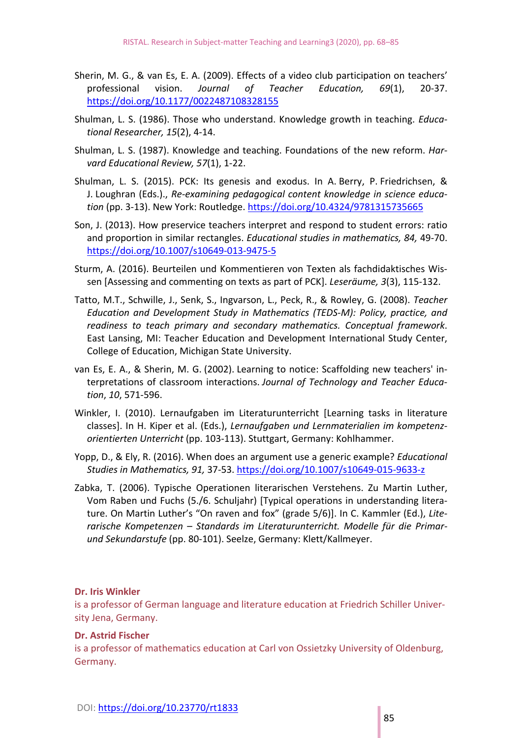- Sherin, M. G., & van Es, E. A. (2009). Effects of a video club participation on teachers' professional vision. *Journal of Teacher Education, 69*(1), 20‐37. https://doi.org/10.1177/0022487108328155
- Shulman, L. S. (1986). Those who understand. Knowledge growth in teaching. *Educa‐ tional Researcher, 15*(2), 4‐14.
- Shulman, L. S. (1987). Knowledge and teaching. Foundations of the new reform. *Har‐ vard Educational Review, 57*(1), 1‐22.
- Shulman, L. S. (2015). PCK: Its genesis and exodus. In A. Berry, P. Friedrichsen, & J. Loughran (Eds.)., *Re‐examining pedagogical content knowledge in science educa‐ tion* (pp. 3‐13). New York: Routledge. https://doi.org/10.4324/9781315735665
- Son, J. (2013). How preservice teachers interpret and respond to student errors: ratio and proportion in similar rectangles. *Educational studies in mathematics, 84,* 49‐70. https://doi.org/10.1007/s10649‐013‐9475‐5
- Sturm, A. (2016). Beurteilen und Kommentieren von Texten als fachdidaktisches Wis‐ sen [Assessing and commenting on texts as part of PCK]. *Leseräume, 3*(3), 115‐132.
- Tatto, M.T., Schwille, J., Senk, S., Ingvarson, L., Peck, R., & Rowley, G. (2008). *Teacher Education and Development Study in Mathematics (TEDS‐M): Policy, practice, and readiness to teach primary and secondary mathematics. Conceptual framework*. East Lansing, MI: Teacher Education and Development International Study Center, College of Education, Michigan State University.
- van Es, E. A., & Sherin, M. G. (2002). Learning to notice: Scaffolding new teachers' in‐ terpretations of classroom interactions. *Journal of Technology and Teacher Educa‐ tion*, *10*, 571‐596.
- Winkler, I. (2010). Lernaufgaben im Literaturunterricht [Learning tasks in literature classes]. In H. Kiper et al. (Eds.), *Lernaufgaben und Lernmaterialien im kompetenz‐ orientierten Unterricht* (pp. 103‐113). Stuttgart, Germany: Kohlhammer.
- Yopp, D., & Ely, R. (2016). When does an argument use a generic example? *Educational Studies in Mathematics, 91,* 37‐53. https://doi.org/10.1007/s10649‐015‐9633‐z
- Zabka, T. (2006). Typische Operationen literarischen Verstehens. Zu Martin Luther, Vom Raben und Fuchs (5./6. Schuljahr) [Typical operations in understanding litera‐ ture. On Martin Luther's "On raven and fox" (grade 5/6)]. In C. Kammler (Ed.), *Lite‐ rarische Kompetenzen – Standards im Literaturunterricht. Modelle für die Primar‐ und Sekundarstufe* (pp. 80‐101). Seelze, Germany: Klett/Kallmeyer.

#### **Dr. Iris Winkler**

is a professor of German language and literature education at Friedrich Schiller Univer‐ sity Jena, Germany.

#### **Dr. Astrid Fischer**

is a professor of mathematics education at Carl von Ossietzky University of Oldenburg, Germany.